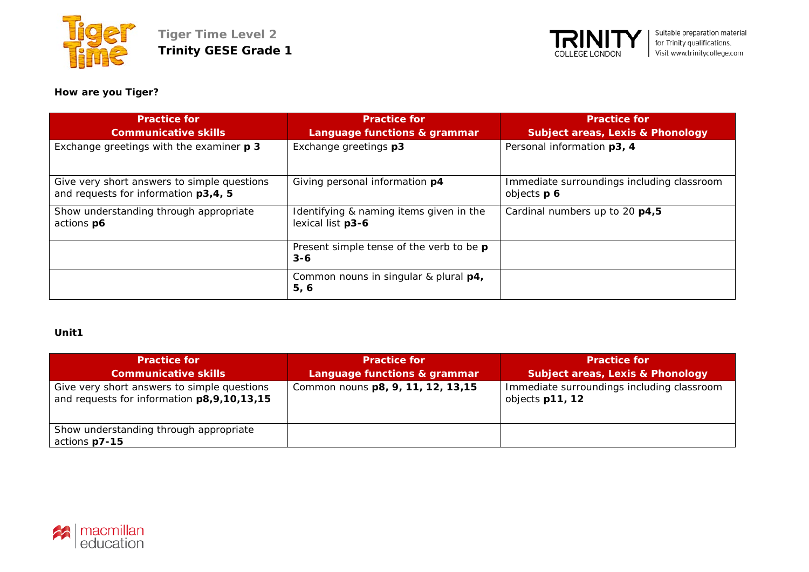



# **How are you Tiger?**

| <b>Practice for</b><br><b>Communicative skills</b>                                  | <b>Practice for</b><br>Language functions & grammar          | <b>Practice for</b><br><b>Subject areas, Lexis &amp; Phonology</b> |
|-------------------------------------------------------------------------------------|--------------------------------------------------------------|--------------------------------------------------------------------|
| Exchange greetings with the examiner p 3                                            | Exchange greetings p3                                        | Personal information p3, 4                                         |
| Give very short answers to simple questions<br>and requests for information p3,4, 5 | Giving personal information p4                               | Immediate surroundings including classroom<br>objects p 6          |
| Show understanding through appropriate<br>actions p6                                | Identifying & naming items given in the<br>lexical list p3-6 | Cardinal numbers up to 20 p4,5                                     |
|                                                                                     | Present simple tense of the verb to be p<br>$3 - 6$          |                                                                    |
|                                                                                     | Common nouns in singular & plural p4,<br>5, 6                |                                                                    |

#### **Unit1**

| <b>Practice for</b>                                                                       | <b>Practice for</b>                | <b>Practice for</b>                                           |
|-------------------------------------------------------------------------------------------|------------------------------------|---------------------------------------------------------------|
| <b>Communicative skills</b>                                                               | Language functions & grammar       | <b>Subject areas, Lexis &amp; Phonology</b>                   |
| Give very short answers to simple questions<br>and requests for information p8,9,10,13,15 | Common nouns p8, 9, 11, 12, 13, 15 | Immediate surroundings including classroom<br>objects p11, 12 |
| Show understanding through appropriate<br>actions p7-15                                   |                                    |                                                               |

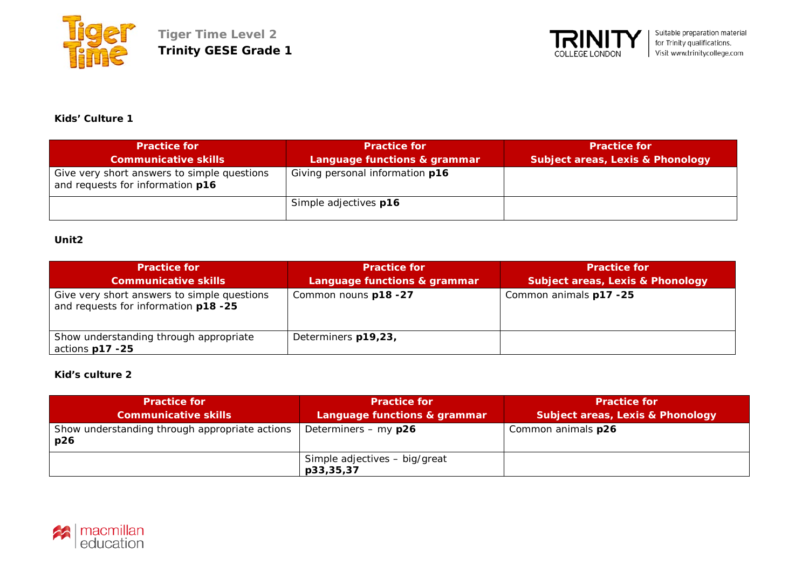



**Kids' Culture 1**

| <b>Practice for</b>                                                             | <b>Practice for</b>             | <b>Practice for</b>              |
|---------------------------------------------------------------------------------|---------------------------------|----------------------------------|
| <b>Communicative skills</b>                                                     | Language functions & grammar    | Subject areas, Lexis & Phonology |
| Give very short answers to simple questions<br>and requests for information p16 | Giving personal information p16 |                                  |
|                                                                                 | Simple adjectives p16           |                                  |

## **Unit2**

| <b>Practice for</b><br><b>Communicative skills</b>                                  | <b>Practice for</b><br>Language functions & grammar | <b>Practice for</b><br>Subject areas, Lexis & Phonology |
|-------------------------------------------------------------------------------------|-----------------------------------------------------|---------------------------------------------------------|
| Give very short answers to simple questions<br>and requests for information p18 -25 | Common nouns p18 -27                                | Common animals p17 -25                                  |
| Show understanding through appropriate<br>actions p17 -25                           | Determiners p19,23,                                 |                                                         |

## **Kid's culture 2**

| <b>Practice for</b>                                   | <b>Practice for</b>           | <b>Practice for</b>                         |
|-------------------------------------------------------|-------------------------------|---------------------------------------------|
| <b>Communicative skills</b>                           | Language functions & grammar  | <b>Subject areas, Lexis &amp; Phonology</b> |
| Show understanding through appropriate actions<br>p26 | Determiners - my p26          | Common animals p26                          |
|                                                       | Simple adjectives - big/great |                                             |
|                                                       | p33,35,37                     |                                             |

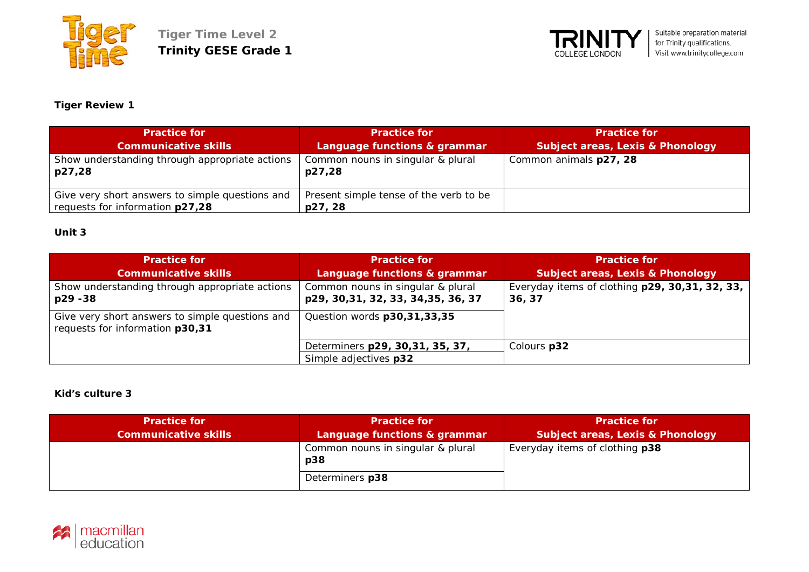



# **Tiger Review 1**

| <b>Practice for</b><br><b>Communicative skills</b>                                 | <b>Practice for</b><br>Language functions & grammar | <b>Practice for</b><br><b>Subject areas, Lexis &amp; Phonology</b> |
|------------------------------------------------------------------------------------|-----------------------------------------------------|--------------------------------------------------------------------|
| Show understanding through appropriate actions<br>p27,28                           | Common nouns in singular & plural<br>p27,28         | Common animals p27, 28                                             |
| Give very short answers to simple questions and<br>requests for information p27,28 | Present simple tense of the verb to be<br>p27, 28   |                                                                    |

# **Unit 3**

| <b>Practice for</b>                                                                | <b>Practice for</b>                                                      | <b>Practice for</b>                                       |
|------------------------------------------------------------------------------------|--------------------------------------------------------------------------|-----------------------------------------------------------|
| <b>Communicative skills</b>                                                        | Language functions & grammar                                             | <b>Subject areas, Lexis &amp; Phonology</b>               |
| Show understanding through appropriate actions<br>p29 - 38                         | Common nouns in singular & plural<br>p29, 30, 31, 32, 33, 34, 35, 36, 37 | Everyday items of clothing p29, 30, 31, 32, 33,<br>36, 37 |
| Give very short answers to simple questions and<br>requests for information p30,31 | Question words p30,31,33,35                                              |                                                           |
|                                                                                    | Determiners p29, 30, 31, 35, 37,                                         | Colours p32                                               |
|                                                                                    | Simple adjectives p32                                                    |                                                           |

### **Kid's culture 3**

| <b>Practice for</b><br><b>Communicative skills</b> | <b>Practice for</b><br>Language functions & grammar | <b>Practice for</b><br>Subject areas, Lexis & Phonology |
|----------------------------------------------------|-----------------------------------------------------|---------------------------------------------------------|
|                                                    | Common nouns in singular & plural<br>p38            | Everyday items of clothing p38                          |
|                                                    | Determiners p38                                     |                                                         |

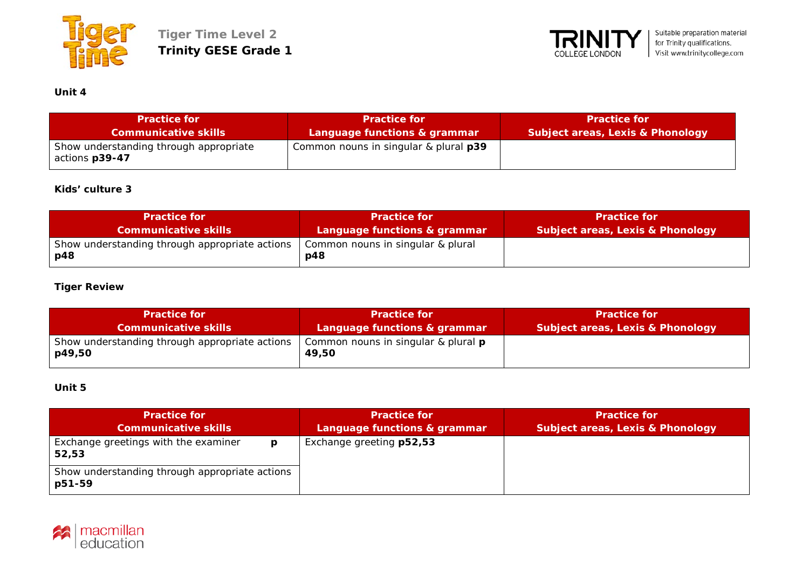



# **Unit 4**

| <b>Practice for</b>                                      | <b>Practice for</b>                   | <b>Practice for</b>                         |
|----------------------------------------------------------|---------------------------------------|---------------------------------------------|
| <b>Communicative skills</b>                              | Language functions & grammar          | <b>Subject areas, Lexis &amp; Phonology</b> |
| Show understanding through appropriate<br>actions p39-47 | Common nouns in singular & plural p39 |                                             |

## **Kids' culture 3**

| <b>Practice for</b>                                     | <b>Practice for </b>                     | <b>Practice for</b>              |
|---------------------------------------------------------|------------------------------------------|----------------------------------|
| <b>Communicative skills</b>                             | Language functions & grammar             | Subject areas, Lexis & Phonology |
| Show understanding through appropriate actions<br>  p48 | Common nouns in singular & plural<br>p48 |                                  |

## **Tiger Review**

| <b>Practice for</b>                                      | <b>Practice for</b>                                 | Practice for                     |
|----------------------------------------------------------|-----------------------------------------------------|----------------------------------|
| <b>Communicative skills</b>                              | Language functions & grammar                        | Subject areas, Lexis & Phonology |
| Show understanding through appropriate actions<br>p49,50 | Common nouns in singular & plural <b>p</b><br>49,50 |                                  |

## **Unit 5**

| <b>Practice for</b><br><b>Communicative skills</b>       | <b>Practice for</b><br>Language functions & grammar | <b>Practice for</b><br><b>Subject areas, Lexis &amp; Phonology</b> |
|----------------------------------------------------------|-----------------------------------------------------|--------------------------------------------------------------------|
| Exchange greetings with the examiner<br>D<br>52,53       | Exchange greeting p52,53                            |                                                                    |
| Show understanding through appropriate actions<br>p51-59 |                                                     |                                                                    |

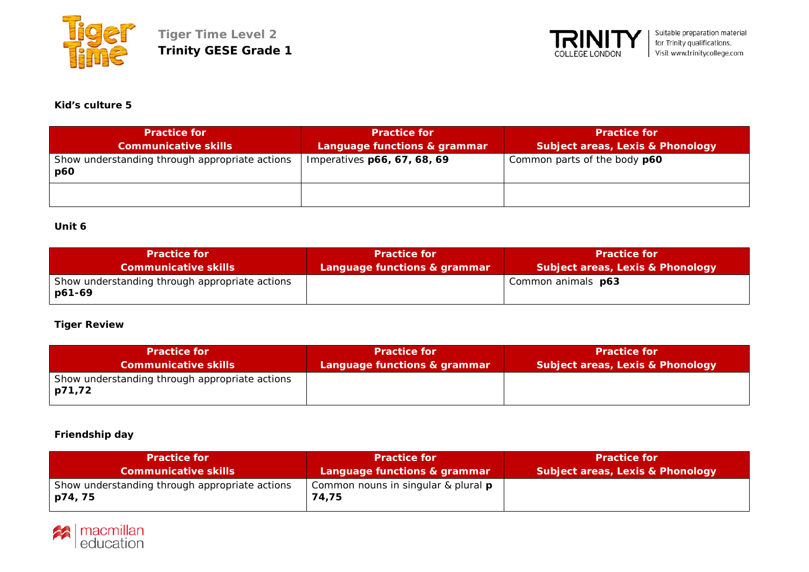



#### **Kid's culture 5**

| <b>Practice for</b>                                   | <b>Practice for</b>          | <b>Practice for</b>                         |
|-------------------------------------------------------|------------------------------|---------------------------------------------|
| <b>Communicative skills</b>                           | Language functions & grammar | <b>Subject areas, Lexis &amp; Phonology</b> |
| Show understanding through appropriate actions<br>p60 | Imperatives p66, 67, 68, 69  | Common parts of the body p60                |
|                                                       |                              |                                             |

# **Unit 6**

| <b>Practice for</b>                                      | <b>Practice for</b>          | <b>Practice for</b>                         |
|----------------------------------------------------------|------------------------------|---------------------------------------------|
| <b>Communicative skills</b>                              | Language functions & grammar | <b>Subject areas, Lexis &amp; Phonology</b> |
| Show understanding through appropriate actions<br>p61-69 |                              | Common animals <b>p63</b>                   |

### **Tiger Review**

| <b>Practice for</b>                                      | <b>Practice for</b>          | <b>Practice for</b>                         |
|----------------------------------------------------------|------------------------------|---------------------------------------------|
| <b>Communicative skills</b>                              | Language functions & grammar | <b>Subject areas, Lexis &amp; Phonology</b> |
| Show understanding through appropriate actions<br>p71,72 |                              |                                             |

### **Friendship day**

| <b>Practice for</b>                                       | <b>Practice for A</b>                               | Practice for                                |
|-----------------------------------------------------------|-----------------------------------------------------|---------------------------------------------|
| <b>Communicative skills</b>                               | Language functions & grammar                        | <b>Subject areas, Lexis &amp; Phonology</b> |
| Show understanding through appropriate actions<br>p74, 75 | Common nouns in singular & plural <b>p</b><br>74,75 |                                             |